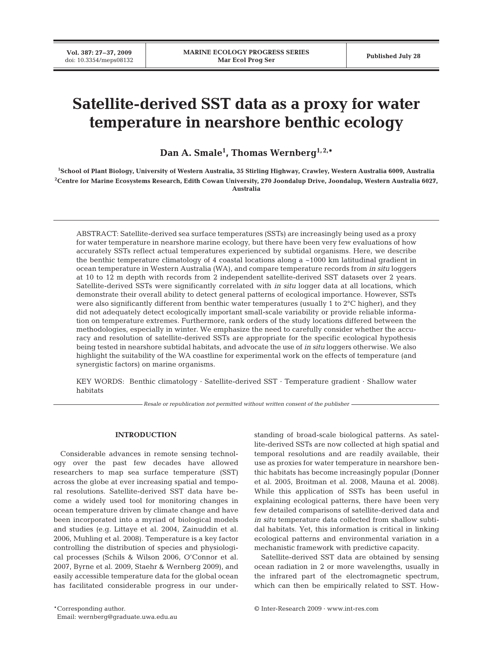# **Satellite-derived SST data as a proxy for water temperature in nearshore benthic ecology**

**Dan A. Smale1 , Thomas Wernberg1, 2,\***

**1 School of Plant Biology, University of Western Australia, 35 Stirling Highway, Crawley, Western Australia 6009, Australia 2 Centre for Marine Ecosystems Research, Edith Cowan University, 270 Joondalup Drive, Joondalup, Western Australia 6027, Australia**

ABSTRACT: Satellite-derived sea surface temperatures (SSTs) are increasingly being used as a proxy for water temperature in nearshore marine ecology, but there have been very few evaluations of how accurately SSTs reflect actual temperatures experienced by subtidal organisms. Here, we describe the benthic temperature climatology of 4 coastal locations along a  $\sim$ 1000 km latitudinal gradient in ocean temperature in Western Australia (WA), and compare temperature records from *in situ* loggers at 10 to 12 m depth with records from 2 independent satellite-derived SST datasets over 2 years. Satellite-derived SSTs were significantly correlated with *in situ* logger data at all locations, which demonstrate their overall ability to detect general patterns of ecological importance. However, SSTs were also significantly different from benthic water temperatures (usually 1 to 2°C higher), and they did not adequately detect ecologically important small-scale variability or provide reliable information on temperature extremes. Furthermore, rank orders of the study locations differed between the methodologies, especially in winter. We emphasize the need to carefully consider whether the accuracy and resolution of satellite-derived SSTs are appropriate for the specific ecological hypothesis being tested in nearshore subtidal habitats, and advocate the use of *in situ* loggers otherwise. We also highlight the suitability of the WA coastline for experimental work on the effects of temperature (and synergistic factors) on marine organisms.

KEY WORDS: Benthic climatology · Satellite-derived SST · Temperature gradient · Shallow water habitats

*Resale or republication not permitted without written consent of the publisher*

## **INTRODUCTION**

Considerable advances in remote sensing technology over the past few decades have allowed researchers to map sea surface temperature (SST) across the globe at ever increasing spatial and temporal resolutions. Satellite-derived SST data have become a widely used tool for monitoring changes in ocean temperature driven by climate change and have been incorporated into a myriad of biological models and studies (e.g. Littaye et al. 2004, Zainuddin et al. 2006, Muhling et al. 2008). Temperature is a key factor controlling the distribution of species and physiological processes (Schils & Wilson 2006, O'Connor et al. 2007, Byrne et al. 2009, Staehr & Wernberg 2009), and easily accessible temperature data for the global ocean has facilitated considerable progress in our under-

\*Corresponding author. © Inter-Research 2009 · www.int-res.com Email: wernberg@graduate.uwa.edu.au

standing of broad-scale biological patterns. As satellite-derived SSTs are now collected at high spatial and temporal resolutions and are readily available, their use as proxies for water temperature in nearshore benthic habitats has become increasingly popular (Donner et al. 2005, Broitman et al. 2008, Mauna et al. 2008). While this application of SSTs has been useful in explaining ecological patterns, there have been very few detailed comparisons of satellite-derived data and *in situ* temperature data collected from shallow subtidal habitats. Yet, this information is critical in linking ecological patterns and environmental variation in a mechanistic framework with predictive capacity.

Satellite-derived SST data are obtained by sensing ocean radiation in 2 or more wavelengths, usually in the infrared part of the electromagnetic spectrum, which can then be empirically related to SST. How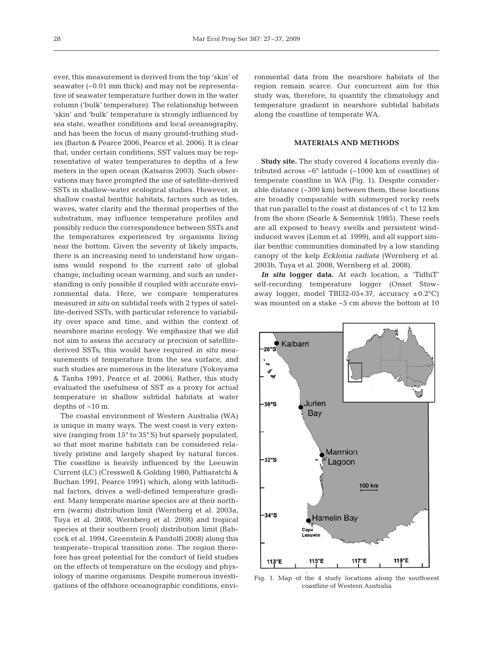ever, this measurement is derived from the top 'skin' of seawater (~0.01 mm thick) and may not be representative of seawater temperature further down in the water column ('bulk' temperature). The relationship between 'skin' and 'bulk' temperature is strongly influenced by sea state, weather conditions and local oceanography, and has been the focus of many ground-truthing studies (Barton & Pearce 2006, Pearce et al. 2006). It is clear that, under certain conditions, SST values may be representative of water temperatures to depths of a few meters in the open ocean (Katsaros 2003). Such observations may have prompted the use of satellite-derived SSTs in shallow-water ecological studies. However, in shallow coastal benthic habitats, factors such as tides, waves, water clarity and the thermal properties of the substratum, may influence temperature profiles and possibly reduce the correspondence between SSTs and the temperatures experienced by organisms living near the bottom. Given the severity of likely impacts, there is an increasing need to understand how organisms would respond to the current rate of global change, including ocean warming, and such an understanding is only possible if coupled with accurate environmental data. Here, we compare temperatures measured *in situ* on subtidal reefs with 2 types of satellite-derived SSTs, with particular reference to variability over space and time, and within the context of nearshore marine ecology. We emphasize that we did not aim to assess the accuracy or precision of satellitederived SSTs; this would have required *in situ* measurements of temperature from the sea surface, and such studies are numerous in the literature (Yokoyama & Tanba 1991, Pearce et al. 2006). Rather, this study evaluated the usefulness of SST as a proxy for actual temperature in shallow subtidal habitats at water depths of ~10 m.

The coastal environment of Western Australia (WA) is unique in many ways. The west coast is very extensive (ranging from 15° to 35° S) but sparsely populated, so that most marine habitats can be considered relatively pristine and largely shaped by natural forces. The coastline is heavily influenced by the Leeuwin Current (LC) (Cresswell & Golding 1980, Pattiaratchi & Buchan 1991, Pearce 1991) which, along with latitudinal factors, drives a well-defined temperature gradient. Many temperate marine species are at their northern (warm) distribution limit (Wernberg et al. 2003a, Tuya et al. 2008, Wernberg et al. 2008) and tropical species at their southern (cool) distribution limit (Babcock et al. 1994, Greenstein & Pandolfi 2008) along this temperate–tropical transition zone. The region therefore has great potential for the conduct of field studies on the effects of temperature on the ecology and physiology of marine organisms. Despite numerous investigations of the offshore oceanographic conditions, environmental data from the nearshore habitats of the region remain scarce. Our concurrent aim for this study was, therefore, to quantify the climatology and temperature gradient in nearshore subtidal habitats along the coastline of temperate WA.

# **MATERIALS AND METHODS**

**Study site.** The study covered 4 locations evenly distributed across ~6° latitude (~1000 km of coastline) of temperate coastline in WA (Fig. 1). Despite considerable distance (~300 km) between them, these locations are broadly comparable with submerged rocky reefs that run parallel to the coast at distances of <1 to 12 km from the shore (Searle & Semeniuk 1985). These reefs are all exposed to heavy swells and persistent windinduced waves (Lemm et al. 1999), and all support similar benthic communities dominated by a low standing canopy of the kelp *Ecklonia radiata* (Wernberg et al. 2003b, Tuya et al. 2008, Wernberg et al. 2008).

*In situ* **logger data.** At each location, a 'TidbiT' self-recording temperature logger (Onset Stowaway logger, model TBI32-05+37, accuracy  $\pm 0.2$ °C) was mounted on a stake ~5 cm above the bottom at 10



Fig. 1. Map of the 4 study locations along the southwest coastline of Western Australia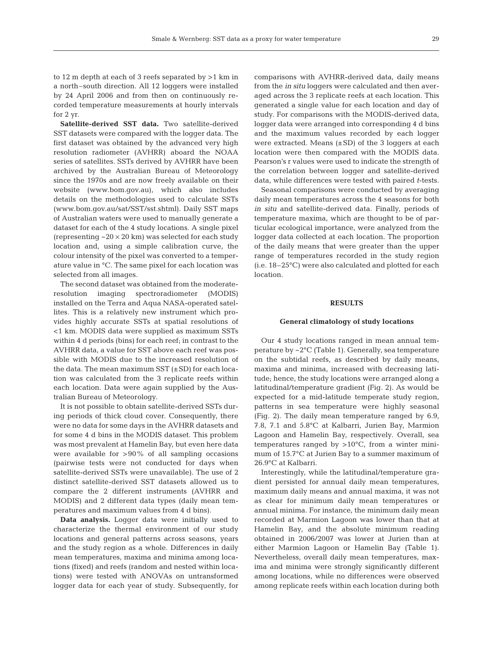to 12 m depth at each of 3 reefs separated by >1 km in a north–south direction. All 12 loggers were installed by 24 April 2006 and from then on continuously recorded temperature measurements at hourly intervals for 2 yr.

**Satellite-derived SST data.** Two satellite-derived SST datasets were compared with the logger data. The first dataset was obtained by the advanced very high resolution radiometer (AVHRR) aboard the NOAA series of satellites. SSTs derived by AVHRR have been archived by the Australian Bureau of Meteorology since the 1970s and are now freely available on their website (www.bom.gov.au), which also includes details on the methodologies used to calculate SSTs (www.bom.gov.au/sat/SST/sst.shtml). Daily SST maps of Australian waters were used to manually generate a dataset for each of the 4 study locations. A single pixel (representing  $\sim$  20  $\times$  20 km) was selected for each study location and, using a simple calibration curve, the colour intensity of the pixel was converted to a temperature value in °C. The same pixel for each location was selected from all images.

The second dataset was obtained from the moderateresolution imaging spectroradiometer (MODIS) installed on the Terra and Aqua NASA-operated satellites. This is a relatively new instrument which provides highly accurate SSTs at spatial resolutions of <1 km. MODIS data were supplied as maximum SSTs within 4 d periods (bins) for each reef; in contrast to the AVHRR data, a value for SST above each reef was possible with MODIS due to the increased resolution of the data. The mean maximum  $SST$  ( $\pm SD$ ) for each location was calculated from the 3 replicate reefs within each location. Data were again supplied by the Australian Bureau of Meteorology.

It is not possible to obtain satellite-derived SSTs during periods of thick cloud cover. Consequently, there were no data for some days in the AVHRR datasets and for some 4 d bins in the MODIS dataset. This problem was most prevalent at Hamelin Bay, but even here data were available for  $>90\%$  of all sampling occasions (pairwise tests were not conducted for days when satellite-derived SSTs were unavailable). The use of 2 distinct satellite-derived SST datasets allowed us to compare the 2 different instruments (AVHRR and MODIS) and 2 different data types (daily mean temperatures and maximum values from 4 d bins).

**Data analysis.** Logger data were initially used to characterize the thermal environment of our study locations and general patterns across seasons, years and the study region as a whole. Differences in daily mean temperatures, maxima and minima among locations (fixed) and reefs (random and nested within locations) were tested with ANOVAs on untransformed logger data for each year of study. Subsequently, for comparisons with AVHRR-derived data, daily means from the *in situ* loggers were calculated and then averaged across the 3 replicate reefs at each location. This generated a single value for each location and day of study. For comparisons with the MODIS-derived data, logger data were arranged into corresponding 4 d bins and the maximum values recorded by each logger were extracted. Means  $(\pm SD)$  of the 3 loggers at each location were then compared with the MODIS data. Pearson's r values were used to indicate the strength of the correlation between logger and satellite-derived data, while differences were tested with paired *t*-tests.

Seasonal comparisons were conducted by averaging daily mean temperatures across the 4 seasons for both *in situ* and satellite-derived data. Finally, periods of temperature maxima, which are thought to be of particular ecological importance, were analyzed from the logger data collected at each location. The proportion of the daily means that were greater than the upper range of temperatures recorded in the study region (i.e. 18–25°C) were also calculated and plotted for each location.

#### **RESULTS**

### **General climatology of study locations**

Our 4 study locations ranged in mean annual temperature by ~2°C (Table 1). Generally, sea temperature on the subtidal reefs, as described by daily means, maxima and minima, increased with decreasing latitude; hence, the study locations were arranged along a latitudinal/temperature gradient (Fig. 2). As would be expected for a mid-latitude temperate study region, patterns in sea temperature were highly seasonal (Fig. 2). The daily mean temperature ranged by 6.9, 7.8, 7.1 and 5.8°C at Kalbarri, Jurien Bay, Marmion Lagoon and Hamelin Bay, respectively. Overall, sea temperatures ranged by >10°C, from a winter minimum of 15.7°C at Jurien Bay to a summer maximum of 26.9°C at Kalbarri.

Interestingly, while the latitudinal/temperature gradient persisted for annual daily mean temperatures, maximum daily means and annual maxima, it was not as clear for minimum daily mean temperatures or annual minima. For instance, the minimum daily mean recorded at Marmion Lagoon was lower than that at Hamelin Bay, and the absolute minimum reading obtained in 2006/2007 was lower at Jurien than at either Marmion Lagoon or Hamelin Bay (Table 1). Nevertheless, overall daily mean temperatures, maxima and minima were strongly significantly different among locations, while no differences were observed among replicate reefs within each location during both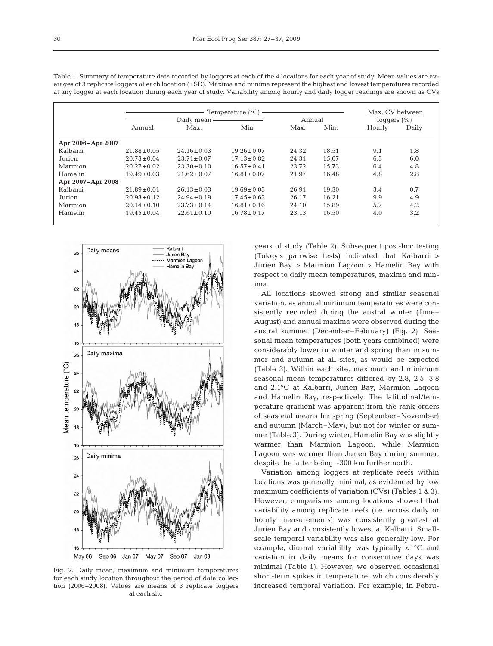|                   |                  | Daily mean-                                            | Temperature $(^{\circ}C)$          | Annual |       | Max. CV between<br>loggers $(\% )$ |       |
|-------------------|------------------|--------------------------------------------------------|------------------------------------|--------|-------|------------------------------------|-------|
|                   | Annual           | Max.                                                   | Min.                               | Max.   | Min.  | Hourly                             | Daily |
| Apr 2006-Apr 2007 |                  |                                                        |                                    |        |       |                                    |       |
| Kalbarri          | $21.88 \pm 0.05$ | $24.16 \pm 0.03$                                       | $19.26 \pm 0.07$                   | 24.32  | 18.51 | 9.1                                | 1.8   |
| Jurien            | $20.73 \pm 0.04$ | $23.71 \pm 0.07$                                       | $17.13 \pm 0.82$                   | 24.31  | 15.67 | 6.3                                | 6.0   |
| Marmion           | $20.27 \pm 0.02$ | $23.30 \pm 0.10$                                       | $16.57 \pm 0.41$<br>23.72<br>15.73 |        | 6.4   | 4.8                                |       |
| Hamelin           | $19.49 \pm 0.03$ | $21.62 \pm 0.07$<br>$16.81 \pm 0.07$<br>16.48<br>21.97 |                                    | 4.8    | 2.8   |                                    |       |
| Apr 2007–Apr 2008 |                  |                                                        |                                    |        |       |                                    |       |
| Kalbarri          | $21.89 \pm 0.01$ | $26.13 \pm 0.03$                                       | $19.69 \pm 0.03$                   | 26.91  | 19.30 | 3.4                                | 0.7   |
| Jurien            | $20.93 \pm 0.12$ | $24.94 \pm 0.19$                                       | $17.45 \pm 0.62$<br>26.17<br>16.21 |        | 9.9   | 4.9                                |       |
| Marmion           | $20.14 \pm 0.10$ | $23.73 \pm 0.14$                                       | $16.81 \pm 0.16$                   | 24.10  | 15.89 | 5.7                                | 4.2   |
| Hamelin           | $19.45 \pm 0.04$ | $22.61 \pm 0.10$                                       | $16.78 \pm 0.17$                   | 23.13  | 16.50 | 4.0                                | 3.2   |

Table 1. Summary of temperature data recorded by loggers at each of the 4 locations for each year of study. Mean values are averages of 3 replicate loggers at each location (±SD). Maxima and minima represent the highest and lowest temperatures recorded at any logger at each location during each year of study. Variability among hourly and daily logger readings are shown as CVs



Fig. 2. Daily mean, maximum and minimum temperatures for each study location throughout the period of data collection (2006–2008). Values are means of 3 replicate loggers at each site

years of study (Table 2). Subsequent post-hoc testing (Tukey's pairwise tests) indicated that Kalbarri > Jurien Bay > Marmion Lagoon > Hamelin Bay with respect to daily mean temperatures, maxima and minima.

All locations showed strong and similar seasonal variation, as annual minimum temperatures were consistently recorded during the austral winter (June– August) and annual maxima were observed during the austral summer (December–February) (Fig. 2). Seasonal mean temperatures (both years combined) were considerably lower in winter and spring than in summer and autumn at all sites, as would be expected (Table 3). Within each site, maximum and minimum seasonal mean temperatures differed by 2.8, 2.5, 3.8 and 2.1°C at Kalbarri, Jurien Bay, Marmion Lagoon and Hamelin Bay, respectively. The latitudinal/temperature gradient was apparent from the rank orders of seasonal means for spring (September–November) and autumn (March–May), but not for winter or summer (Table 3). During winter, Hamelin Bay was slightly warmer than Marmion Lagoon, while Marmion Lagoon was warmer than Jurien Bay during summer, despite the latter being ~300 km further north.

Variation among loggers at replicate reefs within locations was generally minimal, as evidenced by low maximum coefficients of variation (CVs) (Tables 1 & 3). However, comparisons among locations showed that variability among replicate reefs (i.e. across daily or hourly measurements) was consistently greatest at Jurien Bay and consistently lowest at Kalbarri. Smallscale temporal variability was also generally low. For example, diurnal variability was typically <1°C and variation in daily means for consecutive days was minimal (Table 1). However, we observed occasional short-term spikes in temperature, which considerably increased temporal variation. For example, in Febru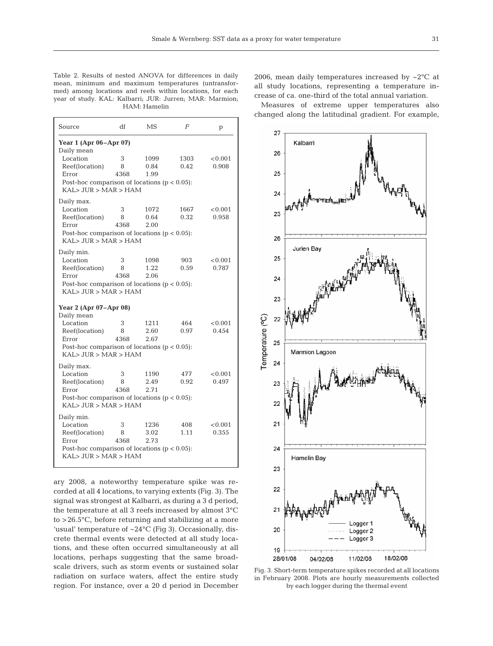Table 2. Results of nested ANOVA for differences in daily mean, minimum and maximum temperatures (untransformed) among locations and reefs within locations, for each year of study. KAL: Kalbarri; JUR: Jurren; MAR: Marmion; HAM: Hamelin

| Source                                                                                                                          | df             | MS                   | F            | p                |
|---------------------------------------------------------------------------------------------------------------------------------|----------------|----------------------|--------------|------------------|
| Year 1 (Apr 06-Apr 07)                                                                                                          |                |                      |              |                  |
| Daily mean<br>Location<br>Reef(location)<br>Error<br>Post-hoc comparison of locations ( $p < 0.05$ ):<br>KAL > JUR > MAR > HAM  | 3<br>8<br>4368 | 1099<br>0.84<br>1.99 | 1303<br>0.42 | < 0.001<br>0.908 |
| Daily max.<br>Location<br>Reef(location)<br>Error<br>Post-hoc comparison of locations ( $p < 0.05$ ):<br>KAL > JUR > MAR > HAM  | 3<br>8<br>4368 | 1072<br>0.64<br>2.00 | 1667<br>0.32 | < 0.001<br>0.958 |
| Daily min.<br>Location<br>Reef(location)<br>Error<br>Post-hoc comparison of locations ( $p < 0.05$ ):<br>KAL > JUIR > MAR > HAM | 3<br>8<br>4368 | 1098<br>1.22<br>2.06 | 903<br>0.59  | < 0.001<br>0.787 |
| Year 2 (Apr 07–Apr 08)                                                                                                          |                |                      |              |                  |
| Daily mean<br>Location<br>Reef(location)<br>Error<br>Post-hoc comparison of locations ( $p < 0.05$ ):<br>KAL > JUR > MAR > HAM  | 3<br>8<br>4368 | 1211<br>2.60<br>2.67 | 464<br>0.97  | < 0.001<br>0.454 |
| Daily max.<br>Location<br>Reef(location)<br>Error<br>Post-hoc comparison of locations ( $p < 0.05$ ):<br>KAL > JUR > MAR > HAM  | 3<br>8<br>4368 | 1190<br>2.49<br>2.71 | 477<br>0.92  | < 0.001<br>0.497 |
| Daily min.<br>Location<br>Reef(location)<br>Error<br>Post-hoc comparison of locations ( $p < 0.05$ ):<br>KAL > JUR > MAR > HAM  | 3<br>8<br>4368 | 1236<br>3.02<br>2.73 | 408<br>1.11  | < 0.001<br>0.355 |

ary 2008, a noteworthy temperature spike was recorded at all 4 locations, to varying extents (Fig. 3). The signal was strongest at Kalbarri, as during a 3 d period, the temperature at all 3 reefs increased by almost 3°C to >26.5°C, before returning and stabilizing at a more 'usual' temperature of ~24°C (Fig 3). Occasionally, discrete thermal events were detected at all study locations, and these often occurred simultaneously at all locations, perhaps suggesting that the same broadscale drivers, such as storm events or sustained solar radiation on surface waters, affect the entire study region. For instance, over a 20 d period in December 2006, mean daily temperatures increased by ~2°C at all study locations, representing a temperature increase of ca. one-third of the total annual variation.

Measures of extreme upper temperatures also changed along the latitudinal gradient. For example,



Fig. 3. Short-term temperature spikes recorded at all locations in February 2008. Plots are hourly measurements collected by each logger during the thermal event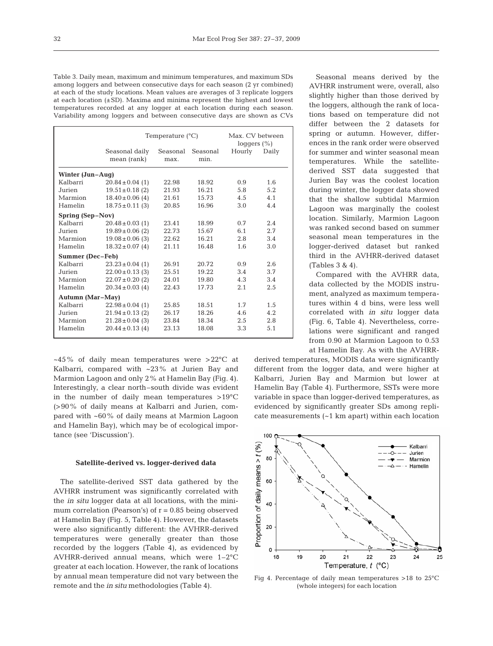Table 3. Daily mean, maximum and minimum temperatures, and maximum SDs among loggers and between consecutive days for each season (2 yr combined) at each of the study locations. Mean values are averages of 3 replicate loggers at each location  $(\pm SD)$ . Maxima and minima represent the highest and lowest temperatures recorded at any logger at each location during each season. Variability among loggers and between consecutive days are shown as CVs

|                         |                               | Temperature $(^{\circ}C)$ |                  | Max. CV between<br>loggers $(\% )$ |       |
|-------------------------|-------------------------------|---------------------------|------------------|------------------------------------|-------|
|                         | Seasonal daily<br>mean (rank) | Seasonal<br>max.          | Seasonal<br>min. | Hourly                             | Daily |
| Winter (Jun–Aug)        |                               |                           |                  |                                    |       |
| Kalbarri                | $20.84 \pm 0.04$ (1)          | 22.98                     | 18.92            | 0.9                                | 1.6   |
| Jurien                  | $19.51 \pm 0.18$ (2)          | 21.93                     | 16.21            | 5.8                                | 5.2   |
| Marmion                 | $18.40 \pm 0.06$ (4)          | 21.61                     | 15.73            | 4.5                                | 4.1   |
| Hamelin                 | $18.75 \pm 0.11$ (3)          | 20.85                     | 16.96            | 3.0                                | 4.4   |
| Spring (Sep-Nov)        |                               |                           |                  |                                    |       |
| Kalbarri                | $20.48 \pm 0.03$ (1)          | 23.41                     | 18.99            | 0.7                                | 2.4   |
| Jurien                  | $19.89 \pm 0.06$ (2)          | 22.73                     | 15.67            | 6.1                                | 2.7   |
| Marmion                 | $19.08 \pm 0.06$ (3)          | 22.62                     | 16.21            | 2.8                                | 3.4   |
| Hamelin                 | $18.32 \pm 0.07$ (4)          | 21.11                     | 16.48            | 1.6                                | 3.0   |
| <b>Summer (Dec-Feb)</b> |                               |                           |                  |                                    |       |
| Kalbarri                | $23.23 \pm 0.04$ (1)          | 26.91                     | 20.72            | 0.9                                | 2.6   |
| Jurien                  | $22.00 \pm 0.13$ (3)          | 25.51                     | 19.22            | 3.4                                | 3.7   |
| Marmion                 | $22.07 \pm 0.20$ (2)          | 24.01                     | 19.80            | 4.3                                | 3.4   |
| <b>Hamelin</b>          | $20.34 \pm 0.03$ (4)          | 22.43                     | 17.73            | 2.1                                | 2.5   |
| Autumn (Mar-May)        |                               |                           |                  |                                    |       |
| Kalbarri                | $22.98 \pm 0.04$ (1)          | 25.85                     | 18.51            | 1.7                                | 1.5   |
| Jurien                  | $21.94 \pm 0.13$ (2)          | 26.17                     | 18.26            | 4.6                                | 4.2.  |
| Marmion                 | $21.28 \pm 0.04$ (3)          | 23.84                     | 18.34            | 2.5                                | 2.8   |
| Hamelin                 | $20.44 \pm 0.13$ (4)          | 23.13                     | 18.08            | 3.3                                | 5.1   |

 $~15\%$  of daily mean temperatures were >22 $^{\circ}$ C at Kalbarri, compared with ~23% at Jurien Bay and Marmion Lagoon and only 2% at Hamelin Bay (Fig. 4). Interestingly, a clear north–south divide was evident in the number of daily mean temperatures >19°C (>90% of daily means at Kalbarri and Jurien, compared with ~60% of daily means at Marmion Lagoon and Hamelin Bay), which may be of ecological importance (see 'Discussion').

## **Satellite-derived vs. logger-derived data**

The satellite-derived SST data gathered by the AVHRR instrument was significantly correlated with the *in situ* logger data at all locations, with the minimum correlation (Pearson's) of  $r = 0.85$  being observed at Hamelin Bay (Fig. 5, Table 4). However, the datasets were also significantly different: the AVHRR-derived temperatures were generally greater than those recorded by the loggers (Table 4), as evidenced by AVHRR-derived annual means, which were 1–2°C greater at each location. However, the rank of locations by annual mean temperature did not vary between the remote and the *in situ* methodologies (Table 4).

Seasonal means derived by the AVHRR instrument were, overall, also slightly higher than those derived by the loggers, although the rank of locations based on temperature did not differ between the 2 datasets for spring or autumn. However, differences in the rank order were observed for summer and winter seasonal mean temperatures. While the satellitederived SST data suggested that Jurien Bay was the coolest location during winter, the logger data showed that the shallow subtidal Marmion Lagoon was marginally the coolest location. Similarly, Marmion Lagoon was ranked second based on summer seasonal mean temperatures in the logger-derived dataset but ranked third in the AVHRR-derived dataset (Tables 3 & 4).

Compared with the AVHRR data, data collected by the MODIS instrument, analyzed as maximum temperatures within 4 d bins, were less well correlated with *in situ* logger data (Fig. 6, Table 4). Nevertheless, correlations were significant and ranged from 0.90 at Marmion Lagoon to 0.53 at Hamelin Bay. As with the AVHRR-

derived temperatures, MODIS data were significantly different from the logger data, and were higher at Kalbarri, Jurien Bay and Marmion but lower at Hamelin Bay (Table 4). Furthermore, SSTs were more variable in space than logger-derived temperatures, as evidenced by significantly greater SDs among replicate measurements (~1 km apart) within each location



Fig 4. Percentage of daily mean temperatures  $>18$  to 25 $^{\circ}$ C (whole integers) for each location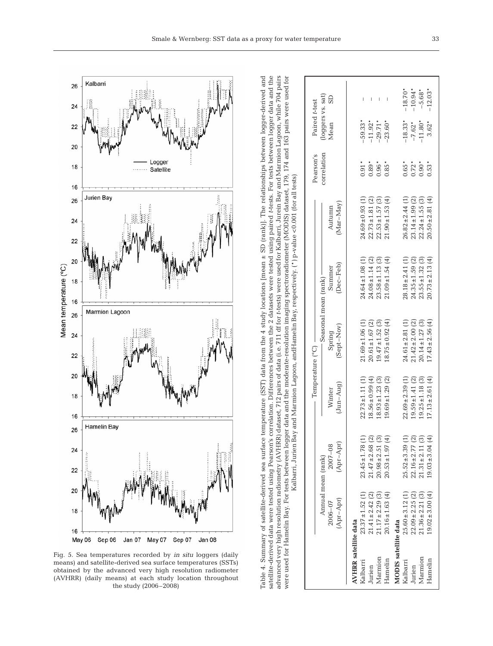

Fig. 5. Sea temperatures recorded by *in situ* loggers (daily means) and satellite-derived sea surface temperatures (SSTs) obtained by the advanced very high resolution radiometer (AVHRR) (daily means) at each study location throughout the study (2006–2008)

advanced very high resolution radiometry (AVHRR) dataset, 712 pairs of data (i.e. 711 dt for t-tests) were used for Kalbarri, Jurein Bay and Marmion Lagoon, while 704 pairs were used for Hamelin Bay. For tests between logger data and the moderate-resolution imaging spectroradiometer (MODIS) dataset, 179, 174 and 163 pairs were used for were used for Hamelin Bay. For tests between logger data and the moderate-resolution imaging spectroradiometer (MODIS) dataset, 179, 174 and 163 pairs were used for advanced very high resolution radiometry (AVHRR) dataset, 712 pairs of data (i.e. 711 df for *t*-tests) were used for Kalbarri, Jurein Bay and Marmion Lagoon, while 704 pairs (loggers vs. sat) Mean SD Paired *t*-test correlation Pearson's Kalbarri, Jurien Bay and Marmion Lagoon, andHamelin Bay, respectively. (\*) p-value <0.001 (for all tests) Kalbarri, Jurien Bay and Marmion Lagoon, andHamelin Bay, respectively. (\*) p-value <0.001 (for all tests)(Apr–Apr) (Apr–Apr) (Jun–Aug) (Sept–Nov) (Dec–Feb) (Mar–May) 2006–07 2007–08 Winter Spring Summer Autumn Annual mean (rank) Seasonal mean (rank) Seasonal mean (rank) Seasonal mean (rank) Seasonal mean (rank) Seasonal mean (rank) Seasonal mean (rank) Seasonal mean (rank) Seasonal mean (rank) Seasonal mean (rank) Seasonal mean Temperature (°C)

Table 4. Summary of satellite-derived sea surface temperature (SST) data from the 4 study locations [mean ± SD (rank)]. The relationships between logger-derived and satellite-derived data were tested using Pearson's correlation. Differences between the 2 datasets were tested using paired *t*-tests. For tests between logger data and the

Table 4. Summary of satellite-derived sea surface temperature (SST) data from the 4 study locations [mean  $\pm$  SD [rank]. The relationships between logger-derived and

satellite-derived data were tested using Pearson's correlation. Differences between the 2 datasets were tested using paired t-tests. For tests between logger data and the

|                             |                      |                      | $T$ emperature $(^{\circ}C)$ |                      |                      |                      | Pearson's   | Paired t-test     |           |
|-----------------------------|----------------------|----------------------|------------------------------|----------------------|----------------------|----------------------|-------------|-------------------|-----------|
|                             |                      | Annual mean (rank)   |                              | Seasonal mean (rank) |                      |                      | correlation | (loggers vs. sat) |           |
|                             | $2006 - 07$          | $2007 - 08$          | Winter                       | Spring               | Summer               | Autunn               |             | Mean              | GS        |
|                             | (Apr-Apr)            | (Apr-Apr)            | $Jun-Auq$                    | (Sept-Nov)           | $Dec-Feb)$           | (Mar-May)            |             |                   |           |
| <b>AVHRR</b> satellite data |                      |                      |                              |                      |                      |                      |             |                   |           |
| Kalbarri                    | $23.37 \pm 1.52$ (1) | $23.45 \pm 1.78$ (1) | $22.73 \pm 1.11(1)$          | $21.69 \pm 1.06$ (1) | $24.64 \pm 1.08$ (1) | $24.69 \pm 0.93$ (1) | $0.91*$     | $-59.33*$         |           |
| Jurien                      | $21.41 \pm 2.42$ (2) | $21.47 \pm 2.68$ (2) | $18.56 \pm 0.99(4)$          | $20.61 \pm 1.67$ (2) | $24.08 \pm 1.14$ (2) | $22.73 \pm 1.81$ (2) | $0.89*$     | $-11.92*$         | I         |
| Marmion                     | $21.17 \pm 2.29$ (3) | $20.98 \pm 2.51$ (3) | $18.93 \pm 1.23$ (3)         | $19.47 \pm 1.52$ (3) | $23.58 \pm 1.13$ (3) | $22.53 \pm 1.57$ (3) | $0.96*$     | $-29.71*$         |           |
| Hamelin                     | $20.16 \pm 1.63$ (4) | $20.53 \pm 1.97$ (4) | $19.69 \pm 1.29$ (2)         | $18.75 \pm 0.92$ (4) | $21.09 \pm 1.54$ (4) | $21.90 \pm 1.53$ (4) | $0.85*$     | $-23.60*$         |           |
| <b>MODIS</b> satellite data |                      |                      |                              |                      |                      |                      |             |                   |           |
| Kalbarri                    | $25.60 \pm 3.12$ (1) | $25.52 \pm 3.39$ (1) | $22.69 \pm 2.39(1)$          | $24.61 \pm 2.81(1)$  | $28.18 \pm 2.41(1)$  | $26.82 \pm 2.44(1)$  | $0.65*$     | $-18.33*$         | $-18.70*$ |
| Jurien                      | $22.09 \pm 2.25$ (2) | $22.16 \pm 2.77$ (2) | $19.59 \pm 1.41$ (2)         | $21.42 \pm 2.00$ (2) | $24.35 \pm 1.59$ (2) | $23.14 \pm 1.99$ (2) | $0.72*$     | $-7.62*$          | $-10.94*$ |
| Marmion                     | $21.36 \pm 2.21$ (3) | $21.31 \pm 2.11$ (3) | $19.25 \pm 1.18$ (3)         | $20.14 \pm 1.27$ (3) | $23.55 \pm 1.32$ (3) | $22.24 \pm 1.55$ (3) | $0.90*$     | $-11.80*$         | $-5.68*$  |
| Hamelin                     | $19.02 \pm 3.00(4)$  | $19.03 \pm 3.04$ (4) | $17.13 \pm 2.61$ (4)         | $17.43 \pm 2.56$ (4) | $20.73 \pm 2.13$ (4) | $20.50 \pm 2.81(4)$  | $0.53*$     | $3.62*$           | $-12.03*$ |
|                             |                      |                      |                              |                      |                      |                      |             |                   |           |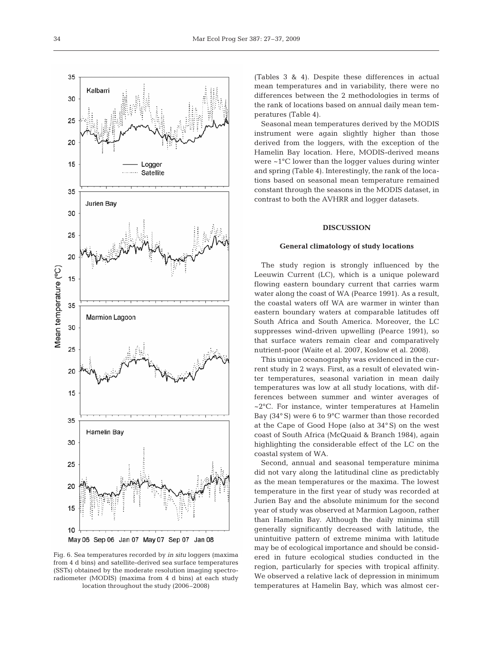

Fig. 6. Sea temperatures recorded by *in situ* loggers (maxima from 4 d bins) and satellite-derived sea surface temperatures (SSTs) obtained by the moderate resolution imaging spectroradiometer (MODIS) (maxima from 4 d bins) at each study location throughout the study (2006–2008)

(Tables 3 & 4). Despite these differences in actual mean temperatures and in variability, there were no differences between the 2 methodologies in terms of the rank of locations based on annual daily mean temperatures (Table 4).

Seasonal mean temperatures derived by the MODIS instrument were again slightly higher than those derived from the loggers, with the exception of the Hamelin Bay location. Here, MODIS-derived means were ~1°C lower than the logger values during winter and spring (Table 4). Interestingly, the rank of the locations based on seasonal mean temperature remained constant through the seasons in the MODIS dataset, in contrast to both the AVHRR and logger datasets.

#### **DISCUSSION**

#### **General climatology of study locations**

The study region is strongly influenced by the Leeuwin Current (LC), which is a unique poleward flowing eastern boundary current that carries warm water along the coast of WA (Pearce 1991). As a result, the coastal waters off WA are warmer in winter than eastern boundary waters at comparable latitudes off South Africa and South America. Moreover, the LC suppresses wind-driven upwelling (Pearce 1991), so that surface waters remain clear and comparatively nutrient-poor (Waite et al. 2007, Koslow et al. 2008).

This unique oceanography was evidenced in the current study in 2 ways. First, as a result of elevated winter temperatures, seasonal variation in mean daily temperatures was low at all study locations, with differences between summer and winter averages of ~2°C. For instance, winter temperatures at Hamelin Bay (34° S) were 6 to 9°C warmer than those recorded at the Cape of Good Hope (also at 34° S) on the west coast of South Africa (McQuaid & Branch 1984), again highlighting the considerable effect of the LC on the coastal system of WA.

Second, annual and seasonal temperature minima did not vary along the latitudinal cline as predictably as the mean temperatures or the maxima. The lowest temperature in the first year of study was recorded at Jurien Bay and the absolute minimum for the second year of study was observed at Marmion Lagoon, rather than Hamelin Bay. Although the daily minima still generally significantly decreased with latitude, the unintuitive pattern of extreme minima with latitude may be of ecological importance and should be considered in future ecological studies conducted in the region, particularly for species with tropical affinity. We observed a relative lack of depression in minimum temperatures at Hamelin Bay, which was almost cer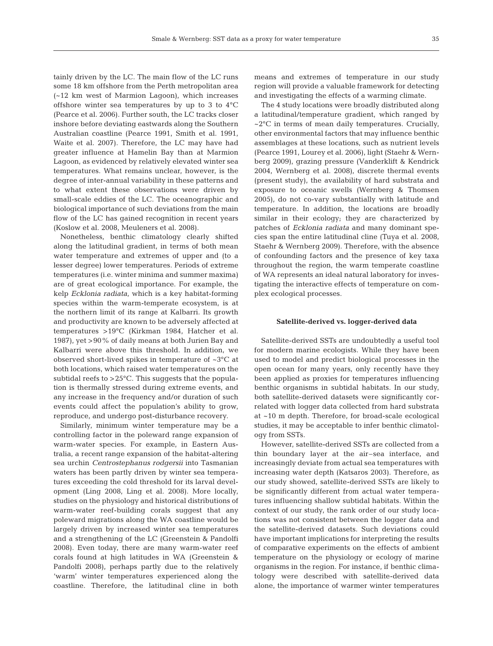tainly driven by the LC. The main flow of the LC runs some 18 km offshore from the Perth metropolitan area (~12 km west of Marmion Lagoon), which increases offshore winter sea temperatures by up to 3 to 4°C (Pearce et al. 2006). Further south, the LC tracks closer inshore before deviating eastwards along the Southern Australian coastline (Pearce 1991, Smith et al. 1991, Waite et al. 2007). Therefore, the LC may have had greater influence at Hamelin Bay than at Marmion Lagoon, as evidenced by relatively elevated winter sea temperatures. What remains unclear, however, is the degree of inter-annual variability in these patterns and to what extent these observations were driven by small-scale eddies of the LC. The oceanographic and biological importance of such deviations from the main flow of the LC has gained recognition in recent years (Koslow et al. 2008, Meuleners et al. 2008).

Nonetheless, benthic climatology clearly shifted along the latitudinal gradient, in terms of both mean water temperature and extremes of upper and (to a lesser degree) lower temperatures. Periods of extreme temperatures (i.e. winter minima and summer maxima) are of great ecological importance. For example, the kelp *Ecklonia radiata*, which is a key habitat-forming species within the warm-temperate ecosystem, is at the northern limit of its range at Kalbarri. Its growth and productivity are known to be adversely affected at temperatures >19°C (Kirkman 1984, Hatcher et al. 1987), yet >90% of daily means at both Jurien Bay and Kalbarri were above this threshold. In addition, we observed short-lived spikes in temperature of ~3°C at both locations, which raised water temperatures on the subtidal reefs to >25°C. This suggests that the population is thermally stressed during extreme events, and any increase in the frequency and/or duration of such events could affect the population's ability to grow, reproduce, and undergo post-disturbance recovery.

Similarly, minimum winter temperature may be a controlling factor in the poleward range expansion of warm-water species. For example, in Eastern Australia, a recent range expansion of the habitat-altering sea urchin *Centrostephanus rodgersii* into Tasmanian waters has been partly driven by winter sea temperatures exceeding the cold threshold for its larval development (Ling 2008, Ling et al. 2008). More locally, studies on the physiology and historical distributions of warm-water reef-building corals suggest that any poleward migrations along the WA coastline would be largely driven by increased winter sea temperatures and a strengthening of the LC (Greenstein & Pandolfi 2008). Even today, there are many warm-water reef corals found at high latitudes in WA (Greenstein & Pandolfi 2008), perhaps partly due to the relatively 'warm' winter temperatures experienced along the coastline. Therefore, the latitudinal cline in both

means and extremes of temperature in our study region will provide a valuable framework for detecting and investigating the effects of a warming climate.

The 4 study locations were broadly distributed along a latitudinal/temperature gradient, which ranged by  $\sim$ 2 $\degree$ C in terms of mean daily temperatures. Crucially, other environmental factors that may influence benthic assemblages at these locations, such as nutrient levels (Pearce 1991, Lourey et al. 2006), light (Staehr & Wernberg 2009), grazing pressure (Vanderklift & Kendrick 2004, Wernberg et al. 2008), discrete thermal events (present study), the availability of hard substrata and exposure to oceanic swells (Wernberg & Thomsen 2005), do not co-vary substantially with latitude and temperature. In addition, the locations are broadly similar in their ecology; they are characterized by patches of *Ecklonia radiata* and many dominant species span the entire latitudinal cline (Tuya et al. 2008, Staehr & Wernberg 2009). Therefore, with the absence of confounding factors and the presence of key taxa throughout the region, the warm temperate coastline of WA represents an ideal natural laboratory for investigating the interactive effects of temperature on complex ecological processes.

#### **Satellite-derived vs. logger-derived data**

Satellite-derived SSTs are undoubtedly a useful tool for modern marine ecologists. While they have been used to model and predict biological processes in the open ocean for many years, only recently have they been applied as proxies for temperatures influencing benthic organisms in subtidal habitats. In our study, both satellite-derived datasets were significantly correlated with logger data collected from hard substrata at ~10 m depth. Therefore, for broad-scale ecological studies, it may be acceptable to infer benthic climatology from SSTs.

However, satellite-derived SSTs are collected from a thin boundary layer at the air–sea interface, and increasingly deviate from actual sea temperatures with increasing water depth (Katsaros 2003). Therefore, as our study showed, satellite-derived SSTs are likely to be significantly different from actual water temperatures influencing shallow subtidal habitats. Within the context of our study, the rank order of our study locations was not consistent between the logger data and the satellite-derived datasets. Such deviations could have important implications for interpreting the results of comparative experiments on the effects of ambient temperature on the physiology or ecology of marine organisms in the region. For instance, if benthic climatology were described with satellite-derived data alone, the importance of warmer winter temperatures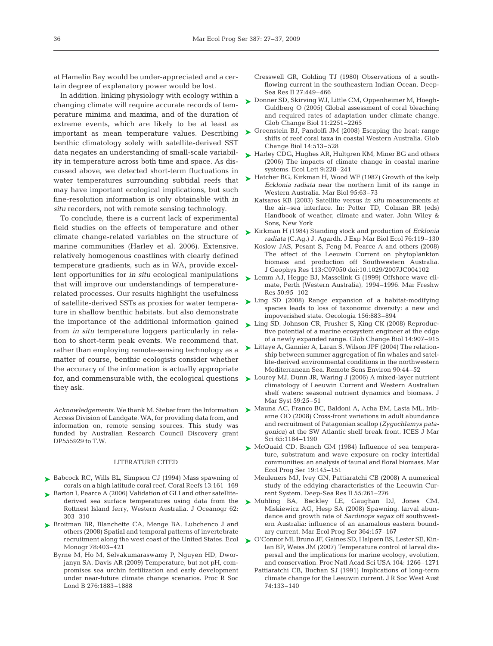at Hamelin Bay would be under-appreciated and a certain degree of explanatory power would be lost.

In addition, linking physiology with ecology within a changing climate will require accurate records of temperature minima and maxima, and of the duration of extreme events, which are likely to be at least as important as mean temperature values. Describing benthic climatology solely with satellite-derived SST data negates an understanding of small-scale variability in temperature across both time and space. As discussed above, we detected short-term fluctuations in water temperatures surrounding subtidal reefs that may have important ecological implications, but such fine-resolution information is only obtainable with *in situ* recorders, not with remote sensing technology.

To conclude, there is a current lack of experimental field studies on the effects of temperature and other climate change-related variables on the structure of marine communities (Harley et al. 2006). Extensive, relatively homogenous coastlines with clearly defined temperature gradients, such as in WA, provide excellent opportunities for *in situ* ecological manipulations that will improve our understandings of temperaturerelated processes. Our results highlight the usefulness of satellite-derived SSTs as proxies for water temperature in shallow benthic habitats, but also demonstrate the importance of the additional information gained from *in situ* temperature loggers particularly in relation to short-term peak events. We recommend that, rather than employing remote-sensing technology as a matter of course, benthic ecologists consider whether the accuracy of the information is actually appropriate for, and commensurable with, the ecological questions they ask.

*Acknowledgements*. We thank M. Steber from the Information Access Division of Landgate, WA, for providing data from, and information on, remote sensing sources. This study was funded by Australian Research Council Discovery grant DP555929 to T.W.

## LITERATURE CITED

- ▶ Babcock RC, Wills BL, Simpson CJ (1994) Mass spawning of corals on a high latitude coral reef. Coral Reefs 13:161–169
- ▶ Barton I, Pearce A (2006) Validation of GLI and other satellitederived sea surface temperatures using data from the Rottnest Island ferry, Western Australia. J Oceanogr 62: 303–310
- ▶ Broitman BR, Blanchette CA, Menge BA, Lubchenco J and others (2008) Spatial and temporal patterns of invertebrate Monogr 78:403–421
	- Byrne M, Ho M, Selvakumaraswamy P, Nguyen HD, Dworjanyn SA, Davis AR (2009) Temperature, but not pH, compromises sea urchin fertilization and early development under near-future climate change scenarios. Proc R Soc Lond B 276:1883–1888
- Cresswell GR, Golding TJ (1980) Observations of a southflowing current in the southeastern Indian Ocean. Deep-Sea Res II 27:449–466
- ► Donner SD, Skirving WJ, Little CM, Oppenheimer M, Hoegh-Guldberg O (2005) Global assessment of coral bleaching and required rates of adaptation under climate change. Glob Change Biol 11:2251–2265
- ► Greenstein BJ, Pandolfi JM (2008) Escaping the heat: range shifts of reef coral taxa in coastal Western Australia. Glob Change Biol 14:513–528
- ► Harley CDG, Hughes AR, Hultgren KM, Miner BG and others (2006) The impacts of climate change in coastal marine systems. Ecol Lett 9:228–241
- ► Hatcher BG, Kirkman H, Wood WF (1987) Growth of the kelp *Ecklonia radiata* near the northern limit of its range in Western Australia. Mar Biol 95:63–73
	- Katsaros KB (2003) Satellite versus *in situ* measurements at the air–sea interface. In: Potter TD, Colman BR (eds) Handbook of weather, climate and water. John Wiley & Sons, New York
- ► Kirkman H (1984) Standing stock and production of *Ecklonia radiata* (C.Ag.) J. Agardh. J Exp Mar Biol Ecol 76:119–130 Koslow JAS, Pesant S, Feng M, Pearce A and others (2008) The effect of the Leeuwin Current on phytoplankton
- biomass and production off Southwestern Australia. J Geophys Res 113:C07050 doi:10.1029/2007JC004102 ► Lemm AJ, Hegge BJ, Masselink G (1999) Offshore wave cli-
- mate, Perth (Western Australia), 1994–1996. Mar Freshw Res 50:95–102
- ► Ling SD (2008) Range expansion of a habitat-modifying species leads to loss of taxonomic diversity: a new and impoverished state. Oecologia 156:883–894
- ► Ling SD, Johnson CR, Frusher S, King CK (2008) Reproductive potential of a marine ecosystem engineer at the edge of a newly expanded range. Glob Change Biol 14:907–915
- ► Littaye A, Gannier A, Laran S, Wilson JPF (2004) The relationship between summer aggregation of fin whales and satellite-derived environmental conditions in the northwestern Mediterranean Sea. Remote Sens Environ 90:44–52
- ► Lourey MJ, Dunn JR, Waring J (2006) A mixed-layer nutrient climatology of Leeuwin Current and Western Australian shelf waters: seasonal nutrient dynamics and biomass. J Mar Syst 59:25–51
- Mauna AC, Franco BC, Baldoni A, Acha EM, Lasta ML, Irib-➤ arne OO (2008) Cross-front variations in adult abundance and recruitment of Patagonian scallop (*Zygochlamys patagonica)* at the SW Atlantic shelf break front. ICES J Mar Sci 65:1184–1190
- ▶ McQuaid CD, Branch GM (1984) Influence of sea temperature, substratum and wave exposure on rocky intertidal communities: an analysis of faunal and floral biomass. Mar Ecol Prog Ser 19:145–151
	- Meuleners MJ, Ivey GN, Pattiaratchi CB (2008) A numerical study of the eddying characteristics of the Leeuwin Current System. Deep-Sea Res II 55:261–276
- Muhling BA, Beckley LE, Gaughan DJ, Jones CM, ➤ Miskiewicz AG, Hesp SA (2008) Spawning, larval abundance and growth rate of *Sardinops sagax* off southwestern Australia: influence of an anamalous eastern boundary current. Mar Ecol Prog Ser 364:157–167
- recruitment along the west coast of the United States. Ecol  $\quad \blacktriangleright$  O'Connor MI, Bruno JF, Gaines SD, Halpern BS, Lester SE, Kinlan BP, Weiss JM (2007) Temperature control of larval dispersal and the implications for marine ecology, evolution, and conservation. Proc Natl Acad Sci USA 104: 1266–1271
	- Pattiaratchi CB, Buchan SJ (1991) Implications of long-term climate change for the Leeuwin current. J R Soc West Aust 74:133–140